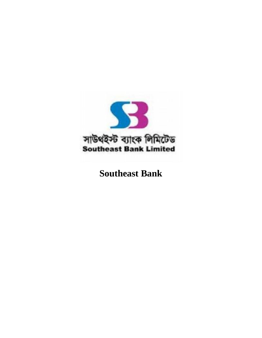

# **Southeast Bank**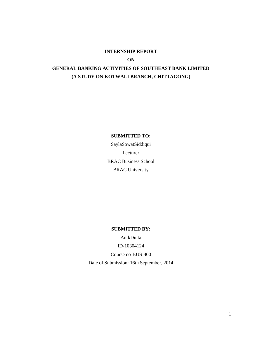### **INTERNSHIP REPORT**

**ON**

# **GENERAL BANKING ACTIVITIES OF SOUTHEAST BANK LIMITED (A STUDY ON KOTWALI BRANCH, CHITTAGONG)**

### **SUBMITTED TO:**

SaylaSowatSiddiqui Lecturer BRAC Business School BRAC University

#### **SUBMITTED BY:**

AnikDutta

ID-10304124

Course no-BUS-400

Date of Submission: 16th September, 2014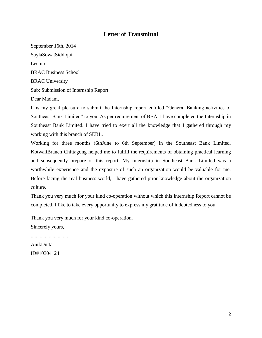# **Letter of Transmittal**

September 16th, 2014 SaylaSowatSiddiqui Lecturer BRAC Business School BRAC University Sub: Submission of Internship Report. Dear Madam,

It is my great pleasure to submit the Internship report entitled "General Banking activities of Southeast Bank Limited" to you. As per requirement of BBA, I have completed the Internship in Southeast Bank Limited. I have tried to exert all the knowledge that I gathered through my working with this branch of SEBL.

Working for three months (6thJune to 6th September) in the Southeast Bank Limited, KotwaliBranch Chittagong helped me to fulfill the requirements of obtaining practical learning and subsequently prepare of this report. My internship in Southeast Bank Limited was a worthwhile experience and the exposure of such an organization would be valuable for me. Before facing the real business world, I have gathered prior knowledge about the organization culture.

Thank you very much for your kind co-operation without which this Internship Report cannot be completed. I like to take every opportunity to express my gratitude of indebtedness to you.

Thank you very much for your kind co-operation.

Sincerely yours,

.............................

AnikDutta ID#10304124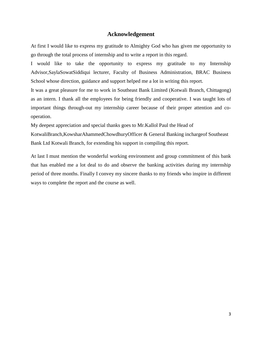### **Acknowledgement**

At first I would like to express my gratitude to Almighty God who has given me opportunity to go through the total process of internship and to write a report in this regard.

I would like to take the opportunity to express my gratitude to my Internship Advisor,SaylaSowatSiddiqui lecturer, Faculty of Business Administration, BRAC Business School whose direction, guidance and support helped me a lot in writing this report.

It was a great pleasure for me to work in Southeast Bank Limited (Kotwali Branch, Chittagong) as an intern. I thank all the employees for being friendly and cooperative. I was taught lots of important things through-out my internship career because of their proper attention and cooperation.

My deepest appreciation and special thanks goes to Mr.Kallol Paul the Head of

KotwaliBranch,KowsharAhammedChowdhuryOfficer & General Banking inchargeof Southeast Bank Ltd Kotwali Branch, for extending his support in compiling this report.

At last I must mention the wonderful working environment and group commitment of this bank that has enabled me a lot deal to do and observe the banking activities during my internship period of three months. Finally I convey my sincere thanks to my friends who inspire in different ways to complete the report and the course as well.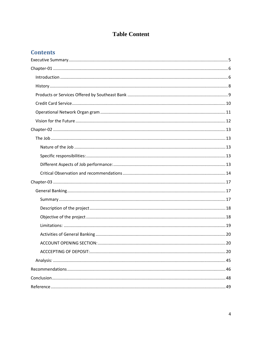# **Table Content**

# **Contents**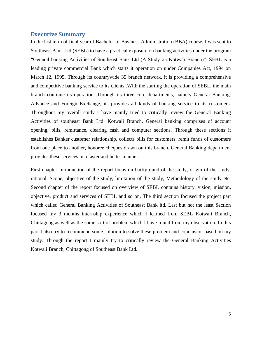### **Executive Summary**

<span id="page-5-0"></span>In the last term of final year of Bachelor of Business Administration (BBA) course, I was sent to Southeast Bank Ltd (SEBL) to have a practical exposure on banking activities under the program "General banking Activities of Southeast Bank Ltd (A Study on Kotwali Branch)". SEBL is a leading private commercial Bank which starts it operation on under Companies Act, 1994 on March 12, 1995. Through its countrywide 35 branch network, it is providing a comprehensive and competitive banking service to its clients .With the starting the operation of SEBL, the main branch continue its operation .Through its three core departments, namely General Banking, Advance and Foreign Exchange, its provides all kinds of banking service to its customers. Throughout my overall study I have mainly tried to critically review the General Banking Activities of southeast Bank Ltd. Kotwali Branch. General banking comprises of account opening, bills, remittance, clearing cash and computer sections. Through these sections it establishes Banker customer relationship, collects bills for customers, remit funds of customers from one place to another, honoree cheques drawn on this branch. General Banking department provides these services in a faster and better manner.

First chapter Introduction of the report focus on background of the study, origin of the study, rational, Scope, objective of the study, limitation of the study, Methodology of the study etc. Second chapter of the report focused on overview of SEBL contains history, vision, mission, objective, product and services of SEBL and so on. The third section focused the project part which called General Banking Activities of Southeast Bank ltd. Last but not the least Section focused my 3 months internship experience which I learned from SEBL Kotwali Branch, Chittagong as well as the some sort of problem which I have found from my observation. In this part I also try to recommend some solution to solve these problem and conclusion based on my study. Through the report I mainly try to critically review the General Banking Activities Kotwali Branch, Chittagong of Southeast Bank Ltd.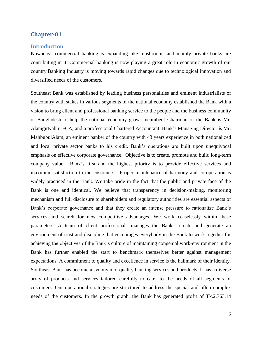### <span id="page-6-0"></span>**Chapter-01**

### <span id="page-6-1"></span>**Introduction**

Nowadays commercial banking is expanding like mushrooms and mainly private banks are contributing in it. Commercial banking is now playing a great role in economic growth of our country.Banking Industry is moving towards rapid changes due to technological innovation and diversified needs of the customers.

Southeast Bank was established by leading business personalities and eminent industrialists of the country with stakes in various segments of the national economy established the Bank with a vision to bring client and professional banking service to the people and the business community of Bangladesh to help the national economy grow. Incumbent Chairman of the Bank is Mr. AlamgirKabir, FCA, and a professional Chartered Accountant. Bank's Managing Director is Mr. MahbubulAlam, an eminent banker of the country with 43 years experience in both nationalized and local private sector banks to his credit. Bank's operations are built upon unequivocal emphasis on effective corporate governance. Objective is to create, promote and build long-term company value. Bank's first and the highest priority is to provide effective services and maximum satisfaction to the customers. Proper maintenance of harmony and co-operation is widely practiced in the Bank. We take pride in the fact that the public and private face of the Bank is one and identical. We believe that transparency in decision-making, monitoring mechanism and full disclosure to shareholders and regulatory authorities are essential aspects of Bank's corporate governance and that they create an intense pressure to rationalize Bank's services and search for new competitive advantages. We work ceaselessly within these parameters. A team of client professionals manages the Bank create and generate an environment of trust and discipline that encourages everybody in the Bank to work together for achieving the objectives of the Bank's culture of maintaining congenial work-environment in the Bank has further enabled the start to benchmark themselves better against management expectations. A commitment to quality and excellence in service is the hallmark of their identity. Southeast Bank has become a synonym of quality banking services and products. It has a diverse array of products and services tailored carefully to cater to the needs of all segments of customers. Our operational strategies are structured to address the special and often complex needs of the customers. In the growth graph, the Bank has generated profit of Tk.2,763.14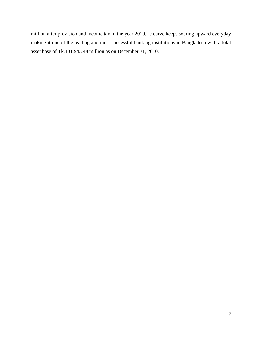million after provision and income tax in the year 2010. -e curve keeps soaring upward everyday making it one of the leading and most successful banking institutions in Bangladesh with a total asset base of Tk.131,943.48 million as on December 31, 2010.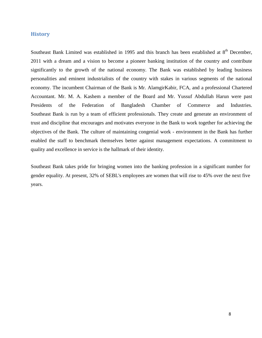### <span id="page-8-0"></span>**History**

Southeast Bank Limited was established in 1995 and this branch has been established at  $8<sup>th</sup>$  December, 2011 with a dream and a vision to become a pioneer banking institution of the country and contribute significantly to the growth of the national economy. The Bank was established by leading business personalities and eminent industrialists of the country with stakes in various segments of the national economy. The incumbent Chairman of the Bank is Mr. AlamgirKabir, FCA, and a professional Chartered Accountant. Mr. M. A. Kashem a member of the Board and Mr. Yussuf Abdullah Harun were past Presidents of the Federation of Bangladesh Chamber of Commerce and Industries. Southeast Bank is run by a team of efficient professionals. They create and generate an environment of trust and discipline that encourages and motivates everyone in the Bank to work together for achieving the objectives of the Bank. The culture of maintaining congenial work - environment in the Bank has further enabled the staff to benchmark themselves better against management expectations. A commitment to quality and excellence in service is the hallmark of their identity.

Southeast Bank takes pride for bringing women into the banking profession in a significant number for gender equality. At present, 32% of SEBL's employees are women that will rise to 45% over the next five years.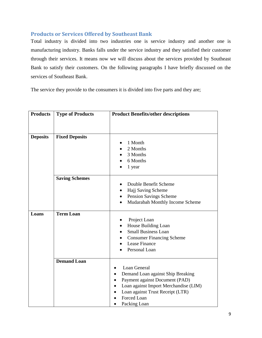# <span id="page-9-0"></span>**Products or Services Offered by Southeast Bank**

Total industry is divided into two industries one is service industry and another one is manufacturing industry. Banks falls under the service industry and they satisfied their customer through their services. It means now we will discuss about the services provided by Southeast Bank to satisfy their customers. On the following paragraphs I have briefly discussed on the services of Southeast Bank.

The service they provide to the consumers it is divided into five parts and they are;

| <b>Products</b> | <b>Type of Products</b> | <b>Product Benefits/other descriptions</b>                                                                                                                                                      |  |  |
|-----------------|-------------------------|-------------------------------------------------------------------------------------------------------------------------------------------------------------------------------------------------|--|--|
|                 |                         |                                                                                                                                                                                                 |  |  |
| <b>Deposits</b> | <b>Fixed Deposits</b>   | 1 Month<br>$\bullet$<br>2 Months<br>3 Months<br>6 Months<br>1 year                                                                                                                              |  |  |
|                 | <b>Saving Schemes</b>   | Double Benefit Scheme<br>$\bullet$<br>Hajj Saving Scheme<br>$\bullet$<br>Pension Savings Scheme<br>$\bullet$<br>Mudarabah Monthly Income Scheme<br>$\bullet$                                    |  |  |
| Loans           | <b>Term Loan</b>        | Project Loan<br>House Building Loan<br>$\bullet$<br><b>Small Business Loan</b><br><b>Consumer Financing Scheme</b><br>Lease Finance<br>Personal Loan                                            |  |  |
|                 | <b>Demand Loan</b>      | Loan General<br>Demand Loan against Ship Breaking<br>Payment against Document (PAD)<br>Loan against Import Merchandise (LIM)<br>Loan against Trust Receipt (LTR)<br>Forced Loan<br>Packing Loan |  |  |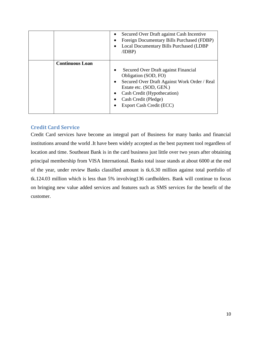|                        | Secured Over Draft against Cash Incentive<br>Foreign Documentary Bills Purchased (FDBP)<br>Local Documentary Bills Purchased (LDBP<br>/IDBP)                                                                               |  |
|------------------------|----------------------------------------------------------------------------------------------------------------------------------------------------------------------------------------------------------------------------|--|
| <b>Continuous Loan</b> | Secured Over Draft against Financial<br>Obligation (SOD, FO)<br>Secured Over Draft Against Work Order / Real<br>Estate etc. (SOD, GEN.)<br>Cash Credit (Hypothecation)<br>Cash Credit (Pledge)<br>Export Cash Credit (ECC) |  |

# <span id="page-10-0"></span>**Credit Card Service**

Credit Card services have become an integral part of Business for many banks and financial institutions around the world .It have been widely accepted as the best payment tool regardless of location and time. Southeast Bank is in the card business just little over two years after obtaining principal membership from VISA International. Banks total issue stands at about 6000 at the end of the year, under review Banks classified amount is tk.6.30 million against total portfolio of tk.124.03 million which is less than 5% involving136 cardholders. Bank will continue to focus on bringing new value added services and features such as SMS services for the benefit of the customer.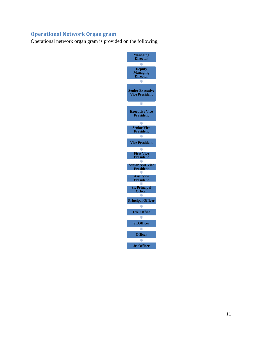# <span id="page-11-0"></span>**Operational Network Organ gram**

Operational network organ gram is provided on the following;

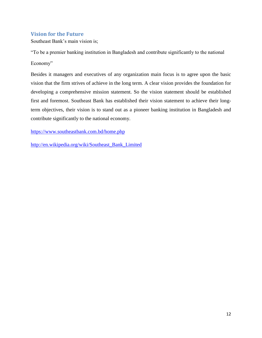# <span id="page-12-0"></span>**Vision for the Future**

Southeast Bank's main vision is;

"To be a premier banking institution in Bangladesh and contribute significantly to the national Economy"

Besides it managers and executives of any organization main focus is to agree upon the basic vision that the firm strives of achieve in the long term. A clear vision provides the foundation for developing a comprehensive mission statement. So the vision statement should be established first and foremost. Southeast Bank has established their vision statement to achieve their longterm objectives, their vision is to stand out as a pioneer banking institution in Bangladesh and contribute significantly to the national economy.

<https://www.southeastbank.com.bd/home.php>

[http://en.wikipedia.org/wiki/Southeast\\_Bank\\_Limited](http://en.wikipedia.org/wiki/Southeast_Bank_Limited)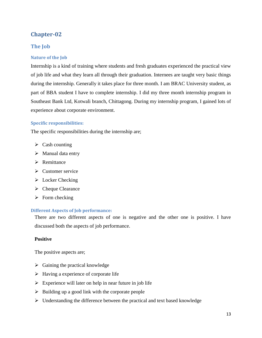# <span id="page-13-0"></span>**Chapter-02**

# <span id="page-13-1"></span>**The Job**

### <span id="page-13-2"></span>**Nature of the Job**

Internship is a kind of training where students and fresh graduates experienced the practical view of job life and what they learn all through their graduation. Internees are taught very basic things during the internship. Generally it takes place for three month. I am BRAC University student, as part of BBA student I have to complete internship. I did my three month internship program in Southeast Bank Ltd, Kotwali branch, Chittagong. During my internship program, I gained lots of experience about corporate environment.

### <span id="page-13-3"></span>**Specific responsibilities:**

The specific responsibilities during the internship are;

- $\triangleright$  Cash counting
- $\triangleright$  Manual data entry
- $\triangleright$  Remittance
- $\triangleright$  Customer service
- $\triangleright$  Locker Checking
- $\triangleright$  Cheque Clearance
- $\triangleright$  Form checking

### <span id="page-13-4"></span>**Different Aspects of Job performance:**

There are two different aspects of one is negative and the other one is positive. I have discussed both the aspects of job performance.

### **Positive**

The positive aspects are;

- $\triangleright$  Gaining the practical knowledge
- $\triangleright$  Having a experience of corporate life
- $\triangleright$  Experience will later on help in near future in job life
- $\triangleright$  Building up a good link with the corporate people
- $\triangleright$  Understanding the difference between the practical and text based knowledge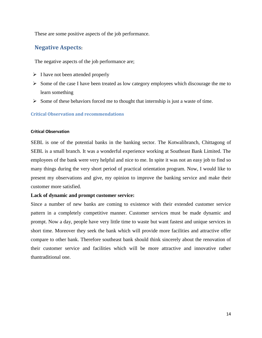These are some positive aspects of the job performance.

# **Negative Aspects:**

The negative aspects of the job performance are;

- $\triangleright$  I have not been attended properly
- $\triangleright$  Some of the case I have been treated as low category employees which discourage the me to learn something
- $\triangleright$  Some of these behaviors forced me to thought that internship is just a waste of time.

### <span id="page-14-0"></span>**Critical Observation and recommendations**

### **Critical Observation**

SEBL is one of the potential banks in the banking sector. The Kotwalibranch, Chittagong of SEBL is a small branch. It was a wonderful experience working at Southeast Bank Limited. The employees of the bank were very helpful and nice to me. In spite it was not an easy job to find so many things during the very short period of practical orientation program. Now, I would like to present my observations and give, my opinion to improve the banking service and make their customer more satisfied.

### **Lack of dynamic and prompt customer service:**

Since a number of new banks are coming to existence with their extended customer service pattern in a completely competitive manner. Customer services must be made dynamic and prompt. Now a day, people have very little time to waste but want fastest and unique services in short time. Moreover they seek the bank which will provide more facilities and attractive offer compare to other bank. Therefore southeast bank should think sincerely about the renovation of their customer service and facilities which will be more attractive and innovative rather thantraditional one.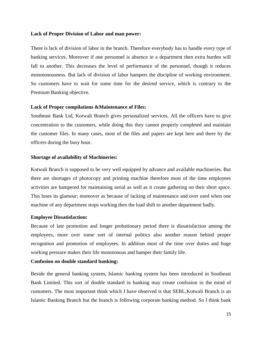#### **Lack of Proper Division of Labor and man power:**

There is lack of division of labor in the branch. Therefore everybody has to handle every type of banking services. Moreover if one personnel is absence in a department then extra burden will fall to another. This decreases the level of performance of the personnel, though it reduces monotonousness. But lack of division of labor hampers the discipline of working environment. So customers have to wait for some time for the desired service, which is contrary to the Premium Banking objective.

#### **Lack of Proper compilations &Maintenance of Files:**

Southeast Bank Ltd, Kotwali Branch gives personalized services. All the officers have to give concentration to the customers, while doing this they cannot properly completed and maintain the customer files. In many cases, most of the files and papers are kept here and there by the officers during the busy hour.

#### **Shortage of availability of Machineries:**

Kotwali Branch is supposed to be very well equipped by advance and available machineries. But there are shortages of photocopy and printing machine therefore most of the time employees activities are hampered for maintaining serial as well as it create gathering on their short space. This loses its glamour; moreover as because of lacking of maintenance and over used when one machine of any department stops working then the load shift to another department badly.

#### **Employee Dissatisfaction:**

Because of late promotion and longer probationary period there is dissatisfaction among the employees, more over some sort of internal politics also another reason behind proper recognition and promotion of employees. In addition most of the time over duties and huge working pressure makes their life monotonous and hamper their family life.

### **Confusion on double standard banking:**

Beside the general banking system, Islamic banking system has been introduced in Southeast Bank Limited. This sort of double standard in banking may create confusion in the mind of customers. The most important think which I have observed is that SEBL,Kotwali Branch is an Islamic Banking Branch but the branch is following corporate banking method. So I think bank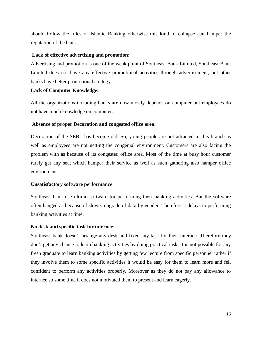should follow the rules of Islamic Banking otherwise this kind of collapse can hamper the reputation of the bank.

### **Lack of effective advertising and promotion:**

Advertising and promotion is one of the weak point of Southeast Bank Limited, Southeast Bank Limited does not have any effective promotional activities through advertisement, but other banks have better promotional strategy.

### **Lack of Computer Knowledge:**

All the organizations including banks are now mostly depends on computer but employees do not have much knowledge on computer.

### **Absence of proper Decoration and congested office area:**

Decoration of the SEBL has become old. So, young people are not attracted to this branch as well as employees are not getting the congenial environment. Customers are also facing the problem with as because of its congested office area. Most of the time at busy hour customer rarely get any seat which hamper their service as well as such gathering also hamper office environment.

### **Unsatisfactory software performance**:

Southeast bank use ultimo software for performing their banking activities. But the software often hanged as because of slower upgrade of data by vender. Therefore it delays to performing banking activities at time.

### **No desk and specific task for internee**:

Southeast bank doesn't arrange any desk and fixed any task for their internee. Therefore they don't get any chance to learn banking activities by doing practical task. It is not possible for any fresh graduate to learn banking activities by getting few lecture from specific personnel rather if they involve them to some specific activities it would be easy for them to learn more and fell confident to perform any activities properly. Moreover as they do not pay any allowance to internee so some time it does not motivated them to present and learn eagerly.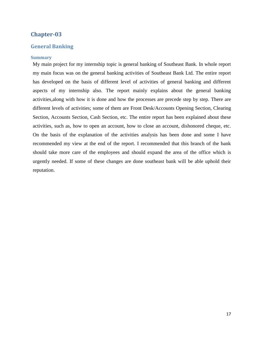### <span id="page-17-0"></span>**Chapter-03**

### <span id="page-17-1"></span>**General Banking**

#### <span id="page-17-2"></span>**Summary**

My main project for my internship topic is general banking of Southeast Bank. In whole report my main focus was on the general banking activities of Southeast Bank Ltd. The entire report has developed on the basis of different level of activities of general banking and different aspects of my internship also. The report mainly explains about the general banking activities,along with how it is done and how the processes are precede step by step. There are different levels of activities; some of them are Front Desk/Accounts Opening Section, Clearing Section, Accounts Section, Cash Section, etc. The entire report has been explained about these activities, such as, how to open an account, how to close an account, dishonored cheque, etc. On the basis of the explanation of the activities analysis has been done and some I have recommended my view at the end of the report. I recommended that this branch of the bank should take more care of the employees and should expand the area of the office which is urgently needed. If some of these changes are done southeast bank will be able uphold their reputation.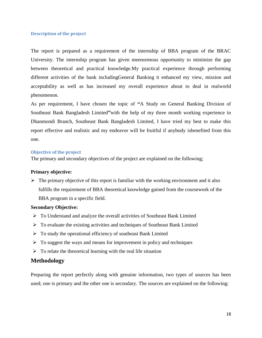### <span id="page-18-0"></span>**Description of the project**

The report is prepared as a requirement of the internship of BBA program of the BRAC University. The internship program has given meenormous opportunity to minimize the gap between theoretical and practical knowledge.My practical experience through performing different activities of the bank includingGeneral Banking it enhanced my view, mission and acceptability as well as has increased my overall experience about to deal in realworld phenomenon.

As per requirement, I have chosen the topic of **"**A Study on General Banking Division of Southeast Bank Bangladesh Limited**"**with the help of my three month working experience in Dhanmondi Branch, Southeast Bank Bangladesh Limited, I have tried my best to make this report effective and realistic and my endeavor will be fruitful if anybody isbenefited from this one.

#### <span id="page-18-1"></span>**Objective of the project**

The primary and secondary objectives of the project are explained on the following;

### **Primary objective:**

 $\triangleright$  The primary objective of this report is familiar with the working environment and it also fulfills the requirement of BBA theoretical knowledge gained from the coursework of the BBA program in a specific field.

#### **Secondary Objective:**

- To Understand and analyze the overall activities of Southeast Bank Limited
- $\triangleright$  To evaluate the existing activities and techniques of Southeast Bank Limited
- $\triangleright$  To study the operational efficiency of southeast Bank Limited
- $\triangleright$  To suggest the ways and means for improvement in policy and techniques
- $\triangleright$  To relate the theoretical learning with the real life situation

### **Methodology**

Preparing the report perfectly along with genuine information, two types of sources has been used; one is primary and the other one is secondary. The sources are explained on the following: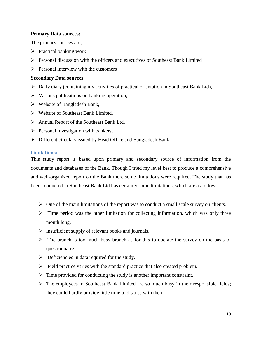### **Primary Data sources:**

The primary sources are;

- $\triangleright$  Practical banking work
- Personal discussion with the officers and executives of Southeast Bank Limited
- $\triangleright$  Personal interview with the customers

### **Secondary Data sources:**

- Daily diary (containing my activities of practical orientation in Southeast Bank Ltd),
- $\triangleright$  Various publications on banking operation,
- Website of Bangladesh Bank,
- Website of Southeast Bank Limited,
- Annual Report of the Southeast Bank Ltd,
- $\triangleright$  Personal investigation with bankers,
- $\triangleright$  Different circulars issued by Head Office and Bangladesh Bank

### <span id="page-19-0"></span>**Limitations:**

This study report is based upon primary and secondary source of information from the documents and databases of the Bank. Though I tried my level best to produce a comprehensive and well-organized report on the Bank there some limitations were required. The study that has been conducted in Southeast Bank Ltd has certainly some limitations, which are as follows-

- $\triangleright$  One of the main limitations of the report was to conduct a small scale survey on clients.
- $\triangleright$  Time period was the other limitation for collecting information, which was only three month long.
- $\triangleright$  Insufficient supply of relevant books and journals.
- $\triangleright$  The branch is too much busy branch as for this to operate the survey on the basis of questionnaire
- $\triangleright$  Deficiencies in data required for the study.
- $\triangleright$  Field practice varies with the standard practice that also created problem.
- $\triangleright$  Time provided for conducting the study is another important constraint.
- $\triangleright$  The employees in Southeast Bank Limited are so much busy in their responsible fields; they could hardly provide little time to discuss with them.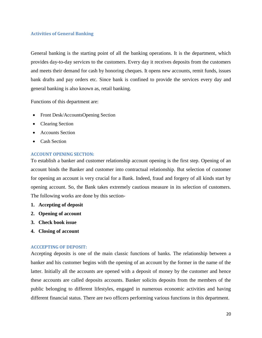### <span id="page-20-0"></span>**Activities of General Banking**

General banking is the starting point of all the banking operations. It is the department, which provides day-to-day services to the customers. Every day it receives deposits from the customers and meets their demand for cash by honoring cheques. It opens new accounts, remit funds, issues bank drafts and pay orders etc. Since bank is confined to provide the services every day and general banking is also known as, retail banking.

Functions of this department are:

- Front Desk/AccountsOpening Section
- Clearing Section
- Accounts Section
- Cash Section

### <span id="page-20-1"></span>**ACCOUNT OPENING SECTION:**

To establish a banker and customer relationship account opening is the first step. Opening of an account binds the Banker and customer into contractual relationship. But selection of customer for opening an account is very crucial for a Bank. Indeed, fraud and forgery of all kinds start by opening account. So, the Bank takes extremely cautious measure in its selection of customers. The following works are done by this section-

- **1. Accepting of deposit**
- **2. Opening of account**
- **3. Check book issue**
- **4. Closing of account**

### <span id="page-20-2"></span>**ACCCEPTING OF DEPOSIT:**

Accepting deposits is one of the main classic functions of banks. The relationship between a banker and his customer begins with the opening of an account by the former in the name of the latter. Initially all the accounts are opened with a deposit of money by the customer and hence these accounts are called deposits accounts. Banker solicits deposits from the members of the public belonging to different lifestyles, engaged in numerous economic activities and having different financial status. There are two officers performing various functions in this department.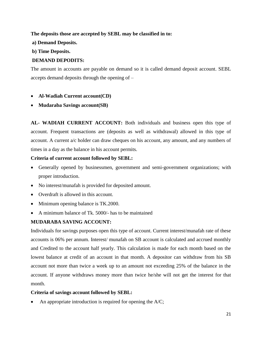### **The deposits those are accepted by SEBL may be classified in to:**

### **a) Demand Deposits.**

### **b) Time Deposits.**

# **DEMAND DEPODITS:**

The amount in accounts are payable on demand so it is called demand deposit account. SEBL accepts demand deposits through the opening of –

### **Al-Wadiah Current account(CD)**

**Mudaraba Savings account(SB)** 

**AL- WADIAH CURRENT ACCOUNT:** Both individuals and business open this type of account. Frequent transactions are (deposits as well as withdrawal) allowed in this type of account. A current a/c holder can draw cheques on his account, any amount, and any numbers of times in a day as the balance in his account permits.

### **Criteria of current account followed by SEBL:**

- Generally opened by businessmen, government and semi-government organizations; with proper introduction.
- No interest/munafah is provided for deposited amount.
- Overdraft is allowed in this account.
- Minimum opening balance is TK.2000.
- A minimum balance of Tk. 5000/- has to be maintained

# **MUDARABA SAVING ACCOUNT:**

Individuals for savings purposes open this type of account. Current interest/munafah rate of these accounts is 06% per annum. Interest/ munafah on SB account is calculated and accrued monthly and Credited to the account half yearly. This calculation is made for each month based on the lowest balance at credit of an account in that month. A depositor can withdraw from his SB account not more than twice a week up to an amount not exceeding 25% of the balance in the account. If anyone withdraws money more than twice he/she will not get the interest for that month.

### **Criteria of savings account followed by SEBL:**

An appropriate introduction is required for opening the A/C;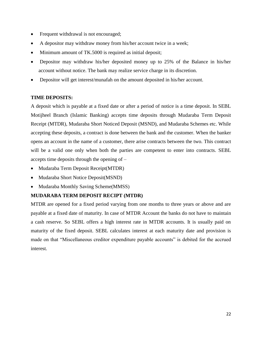- Frequent withdrawal is not encouraged;
- A depositor may withdraw money from his/her account twice in a week;
- Minimum amount of TK.5000 is required as initial deposit;
- Depositor may withdraw his/her deposited money up to 25% of the Balance in his/her account without notice. The bank may realize service charge in its discretion.
- Depositor will get interest/munafah on the amount deposited in his/her account.

### **TIME DEPOSITS:**

A deposit which is payable at a fixed date or after a period of notice is a time deposit. In SEBL Motijheel Branch (Islamic Banking) accepts time deposits through Mudaraba Term Deposit Receipt (MTDR), Mudaraba Short Noticed Deposit (MSND), and Mudaraba Schemes etc. While accepting these deposits, a contract is done between the bank and the customer. When the banker opens an account in the name of a customer, there arise contracts between the two. This contract will be a valid one only when both the parties are competent to enter into contracts. SEBL accepts time deposits through the opening of –

- Mudaraba Term Deposit Receipt(MTDR)
- Mudaraba Short Notice Deposit(MSND)
- Mudaraba Monthly Saving Scheme(MMSS)

### **MUDARABA TERM DEPOSIT RECIPT (MTDR)**

MTDR are opened for a fixed period varying from one months to three years or above and are payable at a fixed date of maturity. In case of MTDR Account the banks do not have to maintain a cash reserve. So SEBL offers a high interest rate in MTDR accounts. It is usually paid on maturity of the fixed deposit. SEBL calculates interest at each maturity date and provision is made on that "Miscellaneous creditor expenditure payable accounts" is debited for the accrued interest.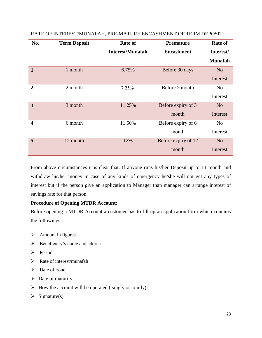| No.              | <b>Term Deposit</b> | <b>Rate of</b>          | <b>Premature</b>    | <b>Rate of</b> |
|------------------|---------------------|-------------------------|---------------------|----------------|
|                  |                     | <b>Interest/Munafah</b> | <b>Encashment</b>   | Interest/      |
|                  |                     |                         |                     | <b>Munafah</b> |
| $\mathbf{1}$     | 1 month             | 6.75%                   | Before 30 days      | N <sub>o</sub> |
|                  |                     |                         |                     | Interest       |
| $\mathbf{2}$     | 2 month             | 7.25%                   | Before 2 month      | N <sub>0</sub> |
|                  |                     |                         |                     | Interest       |
| 3                | 3 month             | 11.25%                  | Before expiry of 3  | N <sub>o</sub> |
|                  |                     |                         | month               | Interest       |
| $\boldsymbol{4}$ | 6 month             | 11.50%                  | Before expiry of 6  | N <sub>o</sub> |
|                  |                     |                         | month               | Interest       |
| 5                | 12 month            | 12%                     | Before expiry of 12 | N <sub>o</sub> |
|                  |                     |                         | month               | Interest       |

RATE OF INTEREST/MUNAFAH, PRE-MATURE ENCASHMENT OF TERM DEPOSIT:

From above circumstances it is clear that. If anyone runs his/her Deposit up to 11 month and withdraw his/her money in case of any kinds of emergency he/she will not get any types of interest but if the person give an application to Manager than manager can arrange interest of savings rate for that person.

### **Procedure of Opening MTDR Account:**

Before opening a MTDR Account a customer has to fill up an application form which contains the followings:

- $\triangleright$  Amount in figures
- $\triangleright$  Beneficiary's name and address
- $\triangleright$  Period
- $\triangleright$  Rate of interest/munafah
- $\triangleright$  Date of issue
- $\triangleright$  Date of maturity
- $\triangleright$  How the account will be operated (singly or jointly)
- $\triangleright$  Signature(s)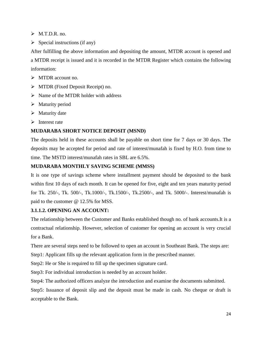$\triangleright$  M.T.D.R. no.

 $\triangleright$  Special instructions (if any)

After fulfilling the above information and depositing the amount, MTDR account is opened and a MTDR receipt is issued and it is recorded in the MTDR Register which contains the following information:

> MTDR account no.

- $\triangleright$  MTDR (Fixed Deposit Receipt) no.
- $\triangleright$  Name of the MTDR holder with address
- $\triangleright$  Maturity period
- $\triangleright$  Maturity date
- $\triangleright$  Interest rate

### **MUDARABA SHORT NOTICE DEPOSIT (MSND)**

The deposits held in these accounts shall be payable on short time for 7 days or 30 days. The deposits may be accepted for period and rate of interest/munafah is fixed by H.O. from time to time. The MSTD interest/munafah rates in SBL are 6.5%.

### **MUDARABA MONTHLY SAVING SCHEME (MMSS)**

It is one type of savings scheme where installment payment should be deposited to the bank within first 10 days of each month. It can be opened for five, eight and ten years maturity period for Tk. 250/-, Tk. 500/-, Tk.1000/-, Tk.1500/-, Tk.2500/-, and Tk. 5000/-. Interest/munafah is paid to the customer @ 12.5% for MSS.

### **3.1.1.2. OPENING AN ACCOUNT:**

The relationship between the Customer and Banks established though no. of bank accounts.It is a contractual relationship. However, selection of customer for opening an account is very crucial for a Bank.

There are several steps need to be followed to open an account in Southeast Bank. The steps are:

Step1: Applicant fills up the relevant application form in the prescribed manner.

Step2: He or She is required to fill up the specimen signature card.

Step3: For individual introduction is needed by an account holder.

Step4: The authorized officers analyze the introduction and examine the documents submitted.

Step5: Issuance of deposit slip and the deposit must be made in cash. No cheque or draft is acceptable to the Bank.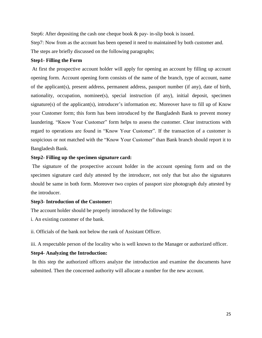Step6: After depositing the cash one cheque book & pay- in-slip book is issued.

Step7: Now from as the account has been opened it need to maintained by both customer and.

The steps are briefly discussed on the following paragraphs;

### **Step1- Filling the Form**

At first the prospective account holder will apply for opening an account by filling up account opening form. Account opening form consists of the name of the branch, type of account, name of the applicant(s), present address, permanent address, passport number (if any), date of birth, nationality, occupation, nominee(s), special instruction (if any), initial deposit, specimen signature(s) of the applicant(s), introducer's information etc. Moreover have to fill up of Know your Customer form; this form has been introduced by the Bangladesh Bank to prevent money laundering. "Know Your Customer" form helps to assess the customer. Clear instructions with regard to operations are found in "Know Your Customer". If the transaction of a customer is suspicious or not matched with the "Know Your Customer" than Bank branch should report it to Bangladesh Bank.

### **Step2- Filling up the specimen signature card:**

The signature of the prospective account holder in the account opening form and on the specimen signature card duly attested by the introducer, not only that but also the signatures should be same in both form. Moreover two copies of passport size photograph duly attested by the introducer.

### **Step3- Introduction of the Customer:**

The account holder should be properly introduced by the followings:

i. An existing customer of the bank.

ii. Officials of the bank not below the rank of Assistant Officer.

iii. A respectable person of the locality who is well known to the Manager or authorized officer.

### **Step4- Analyzing the Introduction:**

In this step the authorized officers analyze the introduction and examine the documents have submitted. Then the concerned authority will allocate a number for the new account.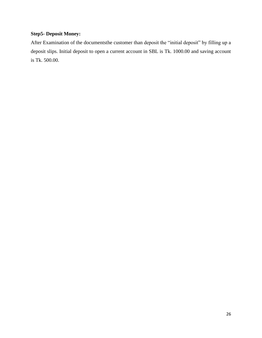# **Step5- Deposit Money:**

After Examination of the documentsthe customer than deposit the "initial deposit" by filling up a deposit slips. Initial deposit to open a current account in SBL is Tk. 1000.00 and saving account is Tk. 500.00.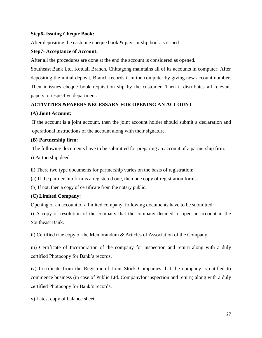### **Step6- Issuing Cheque Book:**

After depositing the cash one cheque book & pay- in-slip book is issued

### **Step7- Acceptance of Account:**

After all the procedures are done at the end the account is considered as opened.

Southeast Bank Ltd, Kotuali Branch, Chittagong maintains all of its accounts in computer. After depositing the initial deposit, Branch records it in the computer by giving new account number. Then it issues cheque book requisition slip by the customer. Then it distributes all relevant papers to respective department.

# **ACTIVITIES &PAPERS NECESSARY FOR OPENING AN ACCOUNT**

### **(A) Joint Account:**

If the account is a joint account, then the joint account holder should submit a declaration and operational instructions of the account along with their signature.

### **(B) Partnership firm:**

The following documents have to be submitted for preparing an account of a partnership firm:

i) Partnership deed.

ii) There two type documents for partnership varies on the basis of registration:

(a) If the partnership firm is a registered one, then one copy of registration forms.

(b) If not, then a copy of certificate from the notary public.

### **(C) Limited Company:**

Opening of an account of a limited company, following documents have to be submitted:

i) A copy of resolution of the company that the company decided to open an account in the Southeast Bank.

ii) Certified true copy of the Memorandum & Articles of Association of the Company.

iii) Certificate of Incorporation of the company for inspection and return along with a duly certified Photocopy for Bank's records.

iv) Certificate from the Registrar of Joint Stock Companies that the company is entitled to commence business (in case of Public Ltd. Companyfor inspection and return) along with a duly certified Photocopy for Bank's records.

v) Latest copy of balance sheet.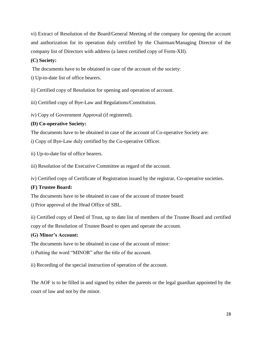vi) Extract of Resolution of the Board/General Meeting of the company for opening the account and authorization for its operation duly certified by the Chairman/Managing Director of the company list of Directors with address (a latest certified copy of Form-XII).

# **(C) Society:**

The documents have to be obtained in case of the account of the society:

i) Up-to-date list of office bearers.

ii) Certified copy of Resolution for opening and operation of account.

iii) Certified copy of Bye-Law and Regulations/Constitution.

iv) Copy of Government Approval (if registered).

# **(D) Co-operative Society:**

The documents have to be obtained in case of the account of Co-operative Society are:

i) Copy of Bye-Law duly certified by the Co-operative Officer.

ii) Up-to-date list of office bearers.

iii) Resolution of the Executive Committee as regard of the account.

iv) Certified copy of Certificate of Registration issued by the registrar, Co-operative societies.

# **(F) Trustee Board:**

The documents have to be obtained in case of the account of trustee board:

i) Prior approval of the Head Office of SBL.

ii) Certified copy of Deed of Trust, up to date list of members of the Trustee Board and certified copy of the Resolution of Trustee Board to open and operate the account.

# **(G) Minor's Account:**

The documents have to be obtained in case of the account of minor:

i) Putting the word "MINOR" after the title of the account.

ii) Recording of the special instruction of operation of the account.

The AOF is to be filled in and signed by either the parents or the legal guardian appointed by the court of law and not by the minor.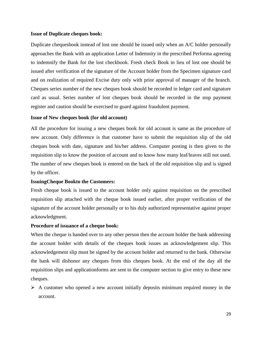#### **Issue of Duplicate cheques book:**

Duplicate chequesbook instead of lost one should be issued only when an A/C holder personally approaches the Bank with an application Letter of Indemnity in the prescribed Performa agreeing to indemnify the Bank for the lost checkbook. Fresh check Book in lieu of lost one should be issued after verification of the signature of the Account holder from the Specimen signature card and on realization of required Excise duty only with prior approval of manager of the branch. Cheques series number of the new cheques book should be recorded in ledger card and signature card as usual. Series number of lost cheques book should be recorded in the stop payment register and caution should be exercised to guard against fraudulent payment.

#### **Issue of New cheques book (for old account)**

All the procedure for issuing a new cheques book for old account is same as the procedure of new account. Only difference is that customer have to submit the requisition slip of the old cheques book with date, signature and his/her address. Computer posting is then given to the requisition slip to know the position of account and to know how many leaf/leaves still not used. The number of new cheques book is entered on the back of the old requisition slip and is signed by the officer.

### **IssuingCheque Bookto the Customers:**

Fresh cheque book is issued to the account holder only against requisition on the prescribed requisition slip attached with the cheque book issued earlier, after proper verification of the signature of the account holder personally or to his duly authorized representative against proper acknowledgment.

### **Procedure of issuance of a cheque book:**

When the cheque is handed over to any other person then the account holder the bank addressing the account holder with details of the cheques book issues an acknowledgement slip. This acknowledgement slip must be signed by the account holder and returned to the bank. Otherwise the bank will dishonor any cheques from this cheques book. At the end of the day all the requisition slips and applicationforms are sent to the computer section to give entry to these new cheques.

 $\triangleright$  A customer who opened a new account initially deposits minimum required money in the account.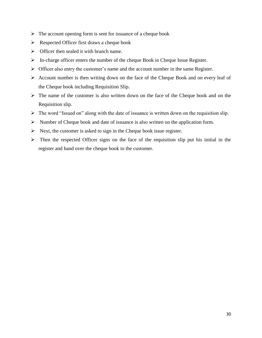- $\triangleright$  The account opening form is sent for issuance of a cheque book
- $\triangleright$  Respected Officer first draws a cheque book
- $\triangleright$  Officer then sealed it with branch name.
- $\triangleright$  In-charge officer enters the number of the cheque Book in Cheque Issue Register.
- $\triangleright$  Officer also entry the customer's name and the account number in the same Register.
- $\triangleright$  Account number is then writing down on the face of the Cheque Book and on every leaf of the Cheque book including Requisition Slip.
- $\triangleright$  The name of the customer is also written down on the face of the Cheque book and on the Requisition slip.
- $\triangleright$  The word "Issued on" along with the date of issuance is written down on the requisition slip.
- $\triangleright$  Number of Cheque book and date of issuance is also written on the application form.
- $\triangleright$  Next, the customer is asked to sign in the Cheque book issue register.
- $\triangleright$  Then the respected Officer signs on the face of the requisition slip put his initial in the register and hand over the cheque book to the customer.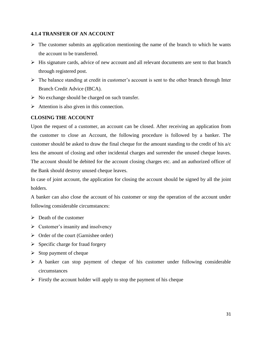### **4.1.4 TRANSFER OF AN ACCOUNT**

- $\triangleright$  The customer submits an application mentioning the name of the branch to which he wants the account to be transferred.
- $\triangleright$  His signature cards, advice of new account and all relevant documents are sent to that branch through registered post.
- $\triangleright$  The balance standing at credit in customer's account is sent to the other branch through Inter Branch Credit Advice (IBCA).
- $\triangleright$  No exchange should be charged on such transfer.
- $\triangleright$  Attention is also given in this connection.

### **CLOSING THE ACCOUNT**

Upon the request of a customer, an account can be closed. After receiving an application from the customer to close an Account, the following procedure is followed by a banker. The customer should be asked to draw the final cheque for the amount standing to the credit of his a/c less the amount of closing and other incidental charges and surrender the unused cheque leaves. The account should be debited for the account closing charges etc. and an authorized officer of the Bank should destroy unused cheque leaves.

In case of joint account, the application for closing the account should be signed by all the joint holders.

A banker can also close the account of his customer or stop the operation of the account under following considerable circumstances:

- $\triangleright$  Death of the customer
- $\triangleright$  Customer's insanity and insolvency
- $\triangleright$  Order of the court (Garnishee order)
- $\triangleright$  Specific charge for fraud forgery
- $\triangleright$  Stop payment of cheque
- $\triangleright$  A banker can stop payment of cheque of his customer under following considerable circumstances
- $\triangleright$  Firstly the account holder will apply to stop the payment of his cheque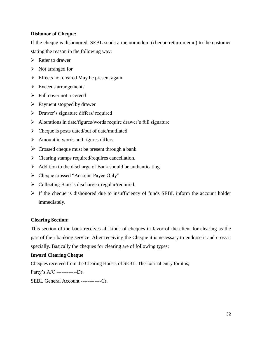### **Dishonor of Cheque:**

If the cheque is dishonored, SEBL sends a memorandum (cheque return memo) to the customer stating the reason in the following way:

- $\triangleright$  Refer to drawer
- $\triangleright$  Not arranged for
- $\triangleright$  Effects not cleared May be present again
- $\triangleright$  Exceeds arrangements
- $\triangleright$  Full cover not received
- $\triangleright$  Payment stopped by drawer
- $\triangleright$  Drawer's signature differs/ required
- Alterations in date/figures/words require drawer's full signature
- $\triangleright$  Cheque is posts dated/out of date/mutilated
- $\triangleright$  Amount in words and figures differs
- $\triangleright$  Crossed cheque must be present through a bank.
- $\triangleright$  Clearing stamps required/requires cancellation.
- $\triangleright$  Addition to the discharge of Bank should be authenticating.
- Cheque crossed "Account Payee Only"
- $\triangleright$  Collecting Bank's discharge irregular/required.
- $\triangleright$  If the cheque is dishonored due to insufficiency of funds SEBL inform the account holder immediately.

### **Clearing Section:**

This section of the bank receives all kinds of cheques in favor of the client for clearing as the part of their banking service. After receiving the Cheque it is necessary to endorse it and cross it specially. Basically the cheques for clearing are of following types:

### **Inward Clearing Cheque**

Cheques received from the Clearing House, of SEBL. The Journal entry for it is;

Party's A/C ------------Dr.

SEBL General Account ------------Cr.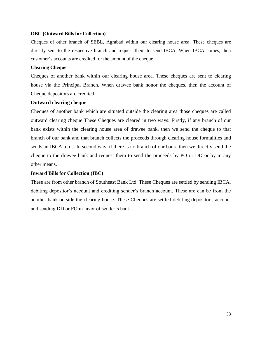### **OBC (Outward Bills for Collection)**

Cheques of other branch of SEBL, Agrabad within our clearing house area. These cheques are directly sent to the respective branch and request them to send IBCA. When IBCA comes, then customer's accounts are credited for the amount of the cheque.

### **Clearing Cheque**

Cheques of another bank within our clearing house area. These cheques are sent to clearing house via the Principal Branch. When drawee bank honor the cheques, then the account of Cheque depositors are credited.

### **Outward clearing cheque**

Cheques of another bank which are situated outside the clearing area those cheques are called outward clearing cheque These Cheques are cleared in two ways: Firstly, if any branch of our bank exists within the clearing house area of drawee bank, then we send the cheque to that branch of our bank and that branch collects the proceeds through clearing house formalities and sends an IBCA to us. In second way, if there is no branch of our bank, then we directly send the cheque to the drawee bank and request them to send the proceeds by PO or DD or by in any other means.

### **Inward Bills for Collection (IBC)**

These are from other branch of Southeast Bank Ltd. These Cheques are settled by sending IBCA, debiting depositor's account and crediting sender's branch account. These are can be from the another bank outside the clearing house. These Cheques are settled debiting depositor's account and sending DD or PO in favor of sender's bank.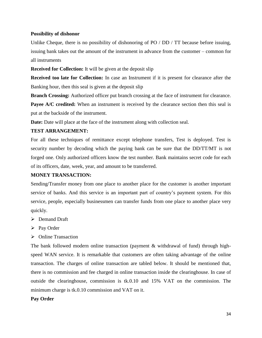### **Possibility of dishonor**

Unlike Cheque, there is no possibility of dishonoring of PO / DD / TT because before issuing, issuing bank takes out the amount of the instrument in advance from the customer – common for all instruments

**Received for Collection:** It will be given at the deposit slip

**Received too late for Collection:** In case an Instrument if it is present for clearance after the Banking hour, then this seal is given at the deposit slip

**Branch Crossing:** Authorized officer put branch crossing at the face of instrument for clearance.

**Payee A/C credited:** When an instrument is received by the clearance section then this seal is put at the backside of the instrument.

**Date:** Date will place at the face of the instrument along with collection seal.

### **TEST ARRANGEMENT:**

For all these techniques of remittance except telephone transfers, Test is deployed. Test is security number by decoding which the paying bank can be sure that the DD/TT/MT is not forged one. Only authorized officers know the test number. Bank maintains secret code for each of its officers, date, week, year, and amount to be transferred.

### **MONEY TRANSACTION:**

Sending/Transfer money from one place to another place for the customer is another important service of banks. And this service is an important part of country's payment system. For this service, people, especially businessmen can transfer funds from one place to another place very quickly.

- Demand Draft
- $\triangleright$  Pay Order
- $\triangleright$  Online Transaction

The bank followed modern online transaction (payment & withdrawal of fund) through highspeed WAN service. It is remarkable that customers are often taking advantage of the online transaction. The charges of online transaction are tabled below. It should be mentioned that, there is no commission and fee charged in online transaction inside the clearinghouse. In case of outside the clearinghouse, commission is tk.0.10 and 15% VAT on the commission. The minimum charge is tk.0.10 commission and VAT on it.

### **Pay Order**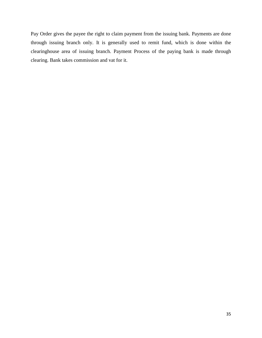Pay Order gives the payee the right to claim payment from the issuing bank. Payments are done through issuing branch only. It is generally used to remit fund, which is done within the clearinghouse area of issuing branch. Payment Process of the paying bank is made through clearing. Bank takes commission and vat for it.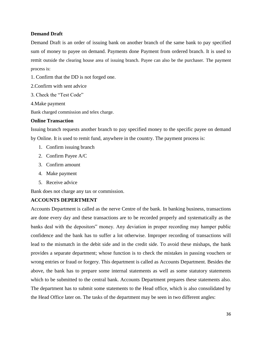### **Demand Draft**

Demand Draft is an order of issuing bank on another branch of the same bank to pay specified sum of money to payee on demand. Payments done Payment from ordered branch. It is used to remit outside the clearing house area of issuing branch. Payee can also be the purchaser. The payment process is:

- 1. Confirm that the DD is not forged one.
- 2.Confirm with sent advice
- 3. Check the "Test Code"
- 4.Make payment

Bank charged commission and telex charge.

### **Online Transaction**

Issuing branch requests another branch to pay specified money to the specific payee on demand by Online. It is used to remit fund, anywhere in the country. The payment process is:

- 1. Confirm issuing branch
- 2. Confirm Payee A/C
- 3. Confirm amount
- 4. Make payment
- 5. Receive advice

Bank does not charge any tax or commission.

### **ACCOUNTS DEPERTMENT**

Accounts Department is called as the nerve Centre of the bank. In banking business, transactions are done every day and these transactions are to be recorded properly and systematically as the banks deal with the depositors" money. Any deviation in proper recording may hamper public confidence and the bank has to suffer a lot otherwise. Improper recording of transactions will lead to the mismatch in the debit side and in the credit side. To avoid these mishaps, the bank provides a separate department; whose function is to check the mistakes in passing vouchers or wrong entries or fraud or forgery. This department is called as Accounts Department. Besides the above, the bank has to prepare some internal statements as well as some statutory statements which to be submitted to the central bank. Accounts Department prepares these statements also. The department has to submit some statements to the Head office, which is also consolidated by the Head Office later on. The tasks of the department may be seen in two different angles: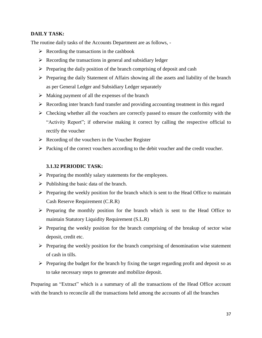### **DAILY TASK:**

The routine daily tasks of the Accounts Department are as follows, -

- $\triangleright$  Recording the transactions in the cashbook
- $\triangleright$  Recording the transactions in general and subsidiary ledger
- $\triangleright$  Preparing the daily position of the branch comprising of deposit and cash
- $\triangleright$  Preparing the daily Statement of Affairs showing all the assets and liability of the branch as per General Ledger and Subsidiary Ledger separately
- $\triangleright$  Making payment of all the expenses of the branch
- $\triangleright$  Recording inter branch fund transfer and providing accounting treatment in this regard
- $\triangleright$  Checking whether all the vouchers are correctly passed to ensure the conformity with the "Activity Report"; if otherwise making it correct by calling the respective official to rectify the voucher
- $\triangleright$  Recording of the vouchers in the Voucher Register
- $\triangleright$  Packing of the correct vouchers according to the debit voucher and the credit voucher.

### **3.1.32 PERIODIC TASK:**

- $\triangleright$  Preparing the monthly salary statements for the employees.
- $\triangleright$  Publishing the basic data of the branch.
- $\triangleright$  Preparing the weekly position for the branch which is sent to the Head Office to maintain Cash Reserve Requirement (C.R.R)
- $\triangleright$  Preparing the monthly position for the branch which is sent to the Head Office to maintain Statutory Liquidity Requirement (S.L.R)
- $\triangleright$  Preparing the weekly position for the branch comprising of the breakup of sector wise deposit, credit etc.
- $\triangleright$  Preparing the weekly position for the branch comprising of denomination wise statement of cash in tills.
- $\triangleright$  Preparing the budget for the branch by fixing the target regarding profit and deposit so as to take necessary steps to generate and mobilize deposit.

Preparing an "Extract" which is a summary of all the transactions of the Head Office account with the branch to reconcile all the transactions held among the accounts of all the branches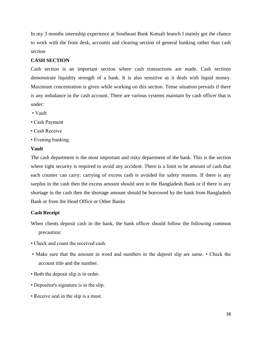In my 3 months internship experience at Southeast Bank Kotuali branch I mainly got the chance to work with the front desk, accounts and clearing section of general banking rather than cash section

### **CASH SECTION**

Cash section is an important section where cash transactions are made. Cash sections demonstrate liquidity strength of a bank. It is also sensitive as it deals with liquid money. Maximum concentration is given while working on this section. Tense situation prevails if there is any imbalance in the cash account. There are various systems maintain by cash officer that is under:

- Vault
- Cash Payment
- Cash Receive
- Evening banking.

#### **Vault**

The cash department is the most important and risky department of the bank. This is the section where tight security is required to avoid any accident. There is a limit to be amount of cash that each counter can carry: carrying of excess cash is avoided for safety reasons. If there is any surplus in the cash then the excess amount should sent to the Bangladesh Bank or if there is any shortage in the cash then the shortage amount should be borrowed by the bank from Bangladesh Bank or from the Head Office or Other Banks

### **Cash Receipt**

- When clients deposit cash in the bank, the bank officer should follow the following common precaution:
- Check and count the received cash.
- Make sure that the amount in word and numbers in the deposit slip are same. Check the account title and the number.
- Both the deposit slip is in order.
- Depositor's signature is in the slip.
- Receive seal in the slip is a must.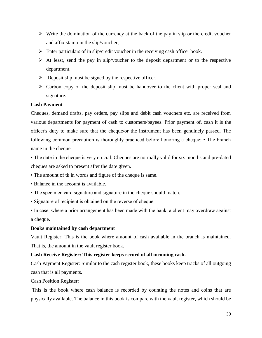- $\triangleright$  Write the domination of the currency at the back of the pay in slip or the credit voucher and affix stamp in the slip/voucher,
- $\triangleright$  Enter particulars of in slip/credit voucher in the receiving cash officer book.
- $\triangleright$  At least, send the pay in slip/voucher to the deposit department or to the respective department.
- $\triangleright$  Deposit slip must be signed by the respective officer.
- $\triangleright$  Carbon copy of the deposit slip must be handover to the client with proper seal and signature.

### **Cash Payment**

Cheques, demand drafts, pay orders, pay slips and debit cash vouchers etc. are received from various departments for payment of cash to customers/payees. Prior payment of, cash it is the officer's duty to make sure that the cheque/or the instrument has been genuinely passed. The following common precaution is thoroughly practiced before honoring a cheque: • The branch name in the cheque.

• The date in the cheque is very crucial. Cheques are normally valid for six months and pre-dated cheques are asked to present after the date given.

- The amount of tk in words and figure of the cheque is same.
- Balance in the account is available.
- The specimen card signature and signature in the cheque should match.
- Signature of recipient is obtained on the reverse of cheque.
- In case, where a prior arrangement has been made with the bank, a client may overdraw against a cheque.

### **Books maintained by cash department**

Vault Register: This is the book where amount of cash available in the branch is maintained. That is, the amount in the vault register book.

### **Cash Receive Register: This register keeps record of all incoming cash.**

Cash Payment Register: Similar to the cash register book, these books keep tracks of all outgoing cash that is all payments.

Cash Position Register:

This is the book where cash balance is recorded by counting the notes and coins that are physically available. The balance in this book is compare with the vault register, which should be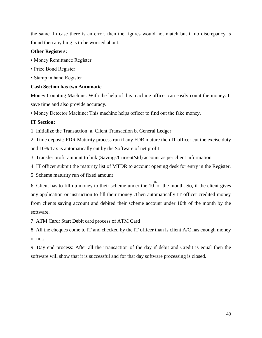the same. In case there is an error, then the figures would not match but if no discrepancy is found then anything is to be worried about.

### **Other Registers:**

- Money Remittance Register
- Prize Bond Register
- Stamp in hand Register

### **Cash Section has two Automatic**

Money Counting Machine: With the help of this machine officer can easily count the money. It save time and also provide accuracy.

• Money Detector Machine: This machine helps officer to find out the fake money.

# **IT Section:**

1. Initialize the Transaction: a. Client Transaction b. General Ledger

2. Time deposit: FDR Maturity process run if any FDR mature then IT officer cut the excise duty and 10% Tax is automatically cut by the Software of net profit

3. Transfer profit amount to link (Savings/Current/std) account as per client information.

4. IT officer submit the maturity list of MTDR to account opening desk for entry in the Register.

5. Scheme maturity run of fixed amount

6. Client has to fill up money to their scheme under the  $10^{th}$  of the month. So, if the client gives any application or instruction to fill their money .Then automatically IT officer credited money from clients saving account and debited their scheme account under 10th of the month by the software.

7. ATM Card: Start Debit card process of ATM Card

8. All the cheques come to IT and checked by the IT officer than is client A/C has enough money or not.

9. Day end process: After all the Transaction of the day if debit and Credit is equal then the software will show that it is successful and for that day software processing is closed.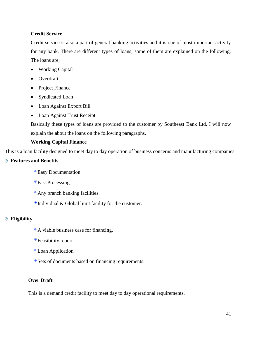### **Credit Service**

Credit service is also a part of general banking activities and it is one of most important activity for any bank. There are different types of loans; some of them are explained on the following. The loans are;

- Working Capital
- Overdraft
- Project Finance
- Syndicated Loan
- Loan Against Export Bill
- Loan Against Trust Receipt

Basically these types of loans are provided to the customer by Southeast Bank Ltd. I will now explain the about the loans on the following paragraphs.

# **Working Capital Finance**

This is a loan facility designed to meet day to day operation of business concerns and manufacturing companies.

# **Features and Benefits**

- Easy Documentation.
- Fast Processing.
- Any branch banking facilities.
- $*$  Individual & Global limit facility for the customer.

### **Eligibility**

- A viable business case for financing.
- Feasibility report
- Loan Application
- Sets of documents based on financing requirements.

# **Over Draft**

This is a demand credit facility to meet day to day operational requirements.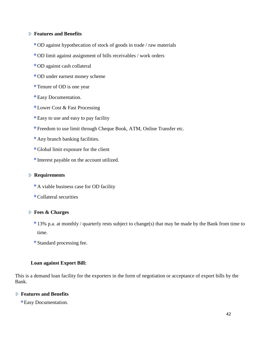### **Features and Benefits**

- OD against hypothecation of stock of goods in trade / raw materials
- OD limit against assignment of bills receivables / work orders
- OD against cash collateral
- OD under earnest money scheme
- Tenure of OD is one year
- Easy Documentation.
- Lower Cost & Fast Processing
- Easy to use and easy to pay facility
- Freedom to use limit through Cheque Book, ATM, Online Transfer etc.
- Any branch banking facilities.
- Global limit exposure for the client
- Interest payable on the account utilized.

### **Requirements**

- A viable business case for OD facility
- Collateral securities

### **Fees & Charges**

- 13% p.a. at monthly / quarterly rests subject to change(s) that may be made by the Bank from time to time.
- Standard processing fee.

### **Loan against Export Bill:**

This is a demand loan facility for the exporters in the form of negotiation or acceptance of export bills by the Bank.

### **Features and Benefits**

Easy Documentation.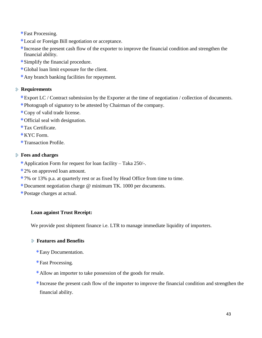Fast Processing.

- Local or Foreign Bill negotiation or acceptance.
- Increase the present cash flow of the exporter to improve the financial condition and strengthen the financial ability.
- Simplify the financial procedure.
- Global loan limit exposure for the client.
- Any branch banking facilities for repayment.

# **Requirements**

- Export LC / Contract submission by the Exporter at the time of negotiation / collection of documents.
- Photograph of signatory to be attested by Chairman of the company.
- Copy of valid trade license.
- Official seal with designation.
- Tax Certificate.
- KYC Form.
- Transaction Profile.

# **Fees and charges**

- Application Form for request for loan facility Taka 250/-.
- 2% on approved loan amount.
- 7% or 13% p.a. at quarterly rest or as fixed by Head Office from time to time.
- Document negotiation charge @ minimum TK. 1000 per documents.
- Postage charges at actual.

# **Loan against Trust Receipt:**

We provide post shipment finance i.e. LTR to manage immediate liquidity of importers.

# **Features and Benefits**

- Easy Documentation.
- Fast Processing.
- Allow an importer to take possession of the goods for resale.
- Increase the present cash flow of the importer to improve the financial condition and strengthen the financial ability.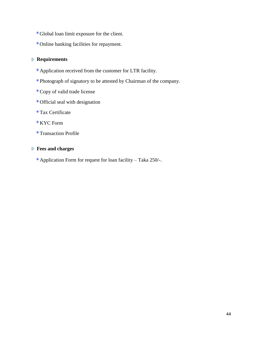- Global loan limit exposure for the client.
- Online banking facilities for repayment.

# **Requirements**

- Application received from the customer for LTR facility.
- Photograph of signatory to be attested by Chairman of the company.
- Copy of valid trade license
- Official seal with designation
- Tax Certificate
- KYC Form
- Transaction Profile

# **Fees and charges**

Application Form for request for loan facility – Taka 250/-.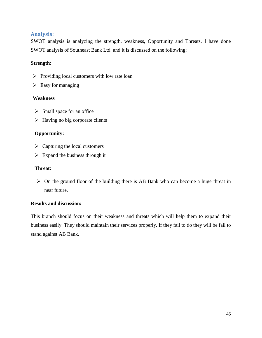# <span id="page-45-0"></span>**Analysis:**

SWOT analysis is analyzing the strength, weakness, Opportunity and Threats. I have done SWOT analysis of Southeast Bank Ltd. and it is discussed on the following;

### **Strength:**

- $\triangleright$  Providing local customers with low rate loan
- $\triangleright$  Easy for managing

### **Weakness**

- $\triangleright$  Small space for an office
- $\triangleright$  Having no big corporate clients

### **Opportunity:**

- $\triangleright$  Capturing the local customers
- $\triangleright$  Expand the business through it

### **Threat:**

 $\triangleright$  On the ground floor of the building there is AB Bank who can become a huge threat in near future.

### **Results and discussion:**

This branch should focus on their weakness and threats which will help them to expand their business easily. They should maintain their services properly. If they fail to do they will be fail to stand against AB Bank.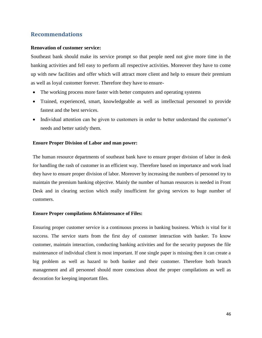# <span id="page-46-0"></span>**Recommendations**

### **Renovation of customer service:**

Southeast bank should make its service prompt so that people need not give more time in the banking activities and fell easy to perform all respective activities. Moreover they have to come up with new facilities and offer which will attract more client and help to ensure their premium as well as loyal customer forever. Therefore they have to ensure-

- The working process more faster with better computers and operating systems
- Trained, experienced, smart, knowledgeable as well as intellectual personnel to provide fastest and the best services.
- Individual attention can be given to customers in order to better understand the customer's needs and better satisfy them.

### **Ensure Proper Division of Labor and man power:**

The human resource departments of southeast bank have to ensure proper division of labor in desk for handling the rash of customer in an efficient way. Therefore based on importance and work load they have to ensure proper division of labor. Moreover by increasing the numbers of personnel try to maintain the premium banking objective. Mainly the number of human resources is needed in Front Desk and in clearing section which really insufficient for giving services to huge number of customers.

### **Ensure Proper compilations &Maintenance of Files:**

Ensuring proper customer service is a continuous process in banking business. Which is vital for it success. The service starts from the first day of customer interaction with banker. To know customer, maintain interaction, conducting banking activities and for the security purposes the file maintenance of individual client is most important. If one single paper is missing then it can create a big problem as well as hazard to both banker and their customer. Therefore both branch management and all personnel should more conscious about the proper compilations as well as decoration for keeping important files.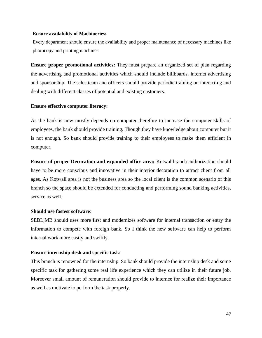#### **Ensure availability of Machineries:**

Every department should ensure the availability and proper maintenance of necessary machines like photocopy and printing machines.

**Ensure proper promotional activities:** They must prepare an organized set of plan regarding the advertising and promotional activities which should include billboards, internet advertising and sponsorship. The sales team and officers should provide periodic training on interacting and dealing with different classes of potential and existing customers.

### **Ensure effective computer literacy:**

As the bank is now mostly depends on computer therefore to increase the computer skills of employees, the bank should provide training. Though they have knowledge about computer but it is not enough. So bank should provide training to their employees to make them efficient in computer.

**Ensure of proper Decoration and expanded office area:** Kotwalibranch authorization should have to be more conscious and innovative in their interior decoration to attract client from all ages. As Kotwali area is not the business area so the local client is the common scenario of this branch so the space should be extended for conducting and performing sound banking activities, service as well.

### **Should use fastest software**:

SEBL,MB should uses more first and modernizes software for internal transaction or entry the information to compete with foreign bank. So I think the new software can help to perform internal work more easily and swiftly.

### **Ensure internship desk and specific task:**

This branch is renowned for the internship. So bank should provide the internship desk and some specific task for gathering some real life experience which they can utilize in their future job. Moreover small amount of remuneration should provide to internee for realize their importance as well as motivate to perform the task properly.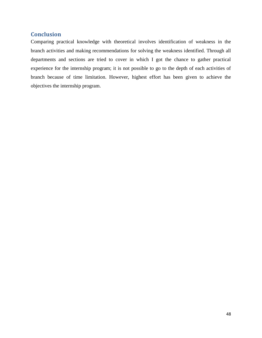# **Conclusion**

<span id="page-48-0"></span>Comparing practical knowledge with theoretical involves identification of weakness in the branch activities and making recommendations for solving the weakness identified. Through all departments and sections are tried to cover in which I got the chance to gather practical experience for the internship program; it is not possible to go to the depth of each activities of branch because of time limitation. However, highest effort has been given to achieve the objectives the internship program.